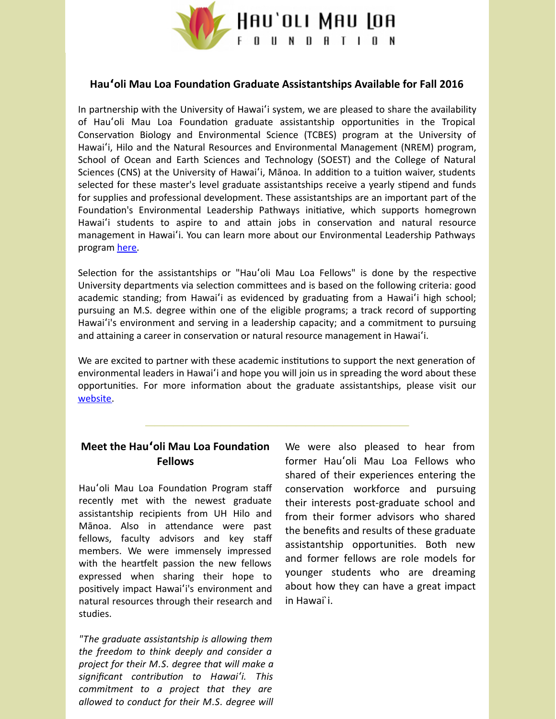

## **Hauʻoli Mau Loa Foundation Graduate Assistantships Available for Fall 2016**

In partnership with the University of Hawaiʻi system, we are pleased to share the availability of Hau'oli Mau Loa Foundation graduate assistantship opportunities in the Tropical Conservation Biology and Environmental Science (TCBES) program at the University of Hawaiʻi, Hilo and the Natural Resources and Environmental Management (NREM) program, School of Ocean and Earth Sciences and Technology (SOEST) and the College of Natural Sciences (CNS) at the University of Hawai'i, Mānoa. In addition to a tuition waiver, students selected for these master's level graduate assistantships receive a yearly stipend and funds for supplies and professional development. These assistantships are an important part of the Foundation's Environmental Leadership Pathways initiative, which supports homegrown Hawai'i students to aspire to and attain jobs in conservation and natural resource management in Hawaiʻi. You can learn more about our Environmental Leadership Pathways program [here](http://hauolimauloa.org/program/environment/?utm_source=6.+Graduate+Assistantships+Available+for+Fall+2016&utm_campaign=Graduate+Assistantships+Available+for+Fall+2016&utm_medium=email).

Selection for the assistantships or "Hau'oli Mau Loa Fellows" is done by the respective University departments via selection committees and is based on the following criteria: good academic standing; from Hawai'i as evidenced by graduating from a Hawai'i high school; pursuing an M.S. degree within one of the eligible programs; a track record of supporting Hawaiʻi's environment and serving in a leadership capacity; and a commitment to pursuing and attaining a career in conservation or natural resource management in Hawaiʻi.

We are excited to partner with these academic institutions to support the next generation of environmental leaders in Hawaiʻi and hope you will join us in spreading the word about these opportunities. For more information about the graduate assistantships, please visit our [website](http://hauolimauloa.org/hau%CA%BBoli-mau-loa-foundation-graduate-assistantship-opportunities-for-fall-2016/?utm_source=6.+Graduate+Assistantships+Available+for+Fall+2016&utm_campaign=Graduate+Assistantships+Available+for+Fall+2016&utm_medium=email).

## **Meet the Hauʻoli Mau Loa Foundation Fellows**

Hau'oli Mau Loa Foundation Program staff recently met with the newest graduate assistantship recipients from UH Hilo and Mānoa. Also in attendance were past fellows, faculty advisors and key staff members. We were immensely impressed with the heartfelt passion the new fellows expressed when sharing their hope to positively impact Hawai'i's environment and natural resources through their research and studies.

*"The graduate assistantship is allowing them the freedom to think deeply and consider a project for their M.S. degree that will make a significant contribuon to Hawai*ʻ*i. This commitment to a project that they are allowed to conduct for their M.S. degree will* We were also pleased to hear from former Hauʻoli Mau Loa Fellows who shared of their experiences entering the conservation workforce and pursuing their interests post-graduate school and from their former advisors who shared the benefits and results of these graduate assistantship opportunities. Both new and former fellows are role models for younger students who are dreaming about how they can have a great impact in Hawai`i.